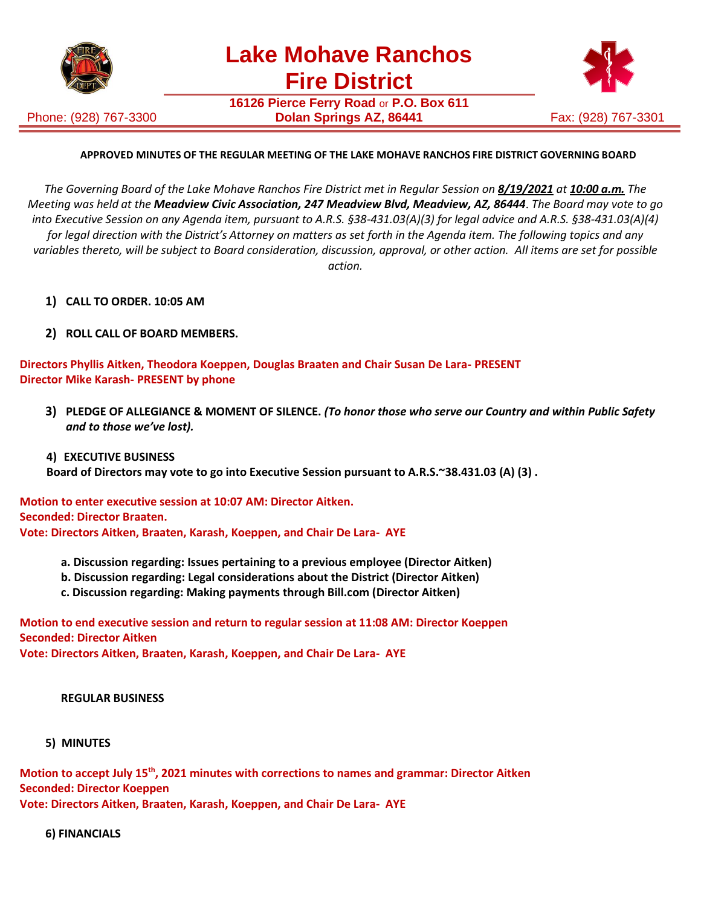

Phone: (928) 767-3300

**16126 Pierce Ferry Road** or **P.O. Box 611 Dolan Springs AZ, 86441** Fax: (928) 767-3301



## **APPROVED MINUTES OF THE REGULAR MEETING OF THE LAKE MOHAVE RANCHOS FIRE DISTRICT GOVERNING BOARD**

The Governing Board of the Lake Mohave Ranchos Fire District met in Regular Session on 8/19/2021 at 10:00 a.m. The *Meeting was held at the Meadview Civic Association, 247 Meadview Blvd, Meadview, AZ, 86444*. *The Board may vote to go into Executive Session on any Agenda item, pursuant to A.R.S. §38-431.03(A)(3) for legal advice and A.R.S. §38-431.03(A)(4)* for legal direction with the District's Attorney on matters as set forth in the Agenda item. The following topics and any *variables thereto, will be subject to Board consideration, discussion, approval, or other action. All items are set for possible action.*

- **1) CALL TO ORDER. 10:05 AM**
- **2) ROLL CALL OF BOARD MEMBERS.**

**Directors Phyllis Aitken, Theodora Koeppen, Douglas Braaten and Chair Susan De Lara- PRESENT Director Mike Karash- PRESENT by phone**

**3) PLEDGE OF ALLEGIANCE & MOMENT OF SILENCE.** *(To honor those who serve our Country and within Public Safety and to those we've lost).*

#### **4) EXECUTIVE BUSINESS**

**Board of Directors may vote to go into Executive Session pursuant to A.R.S.~38.431.03 (A) (3) .**

**Motion to enter executive session at 10:07 AM: Director Aitken. Seconded: Director Braaten. Vote: Directors Aitken, Braaten, Karash, Koeppen, and Chair De Lara- AYE**

- **a. Discussion regarding: Issues pertaining to a previous employee (Director Aitken)**
- **b. Discussion regarding: Legal considerations about the District (Director Aitken)**
- **c. Discussion regarding: Making payments through Bill.com (Director Aitken)**

**Motion to end executive session and return to regular session at 11:08 AM: Director Koeppen Seconded: Director Aitken**

**Vote: Directors Aitken, Braaten, Karash, Koeppen, and Chair De Lara- AYE**

#### **REGULAR BUSINESS**

 **5) MINUTES**

**Motion to accept July 15th, 2021 minutes with corrections to names and grammar: Director Aitken Seconded: Director Koeppen Vote: Directors Aitken, Braaten, Karash, Koeppen, and Chair De Lara- AYE**

 **6) FINANCIALS**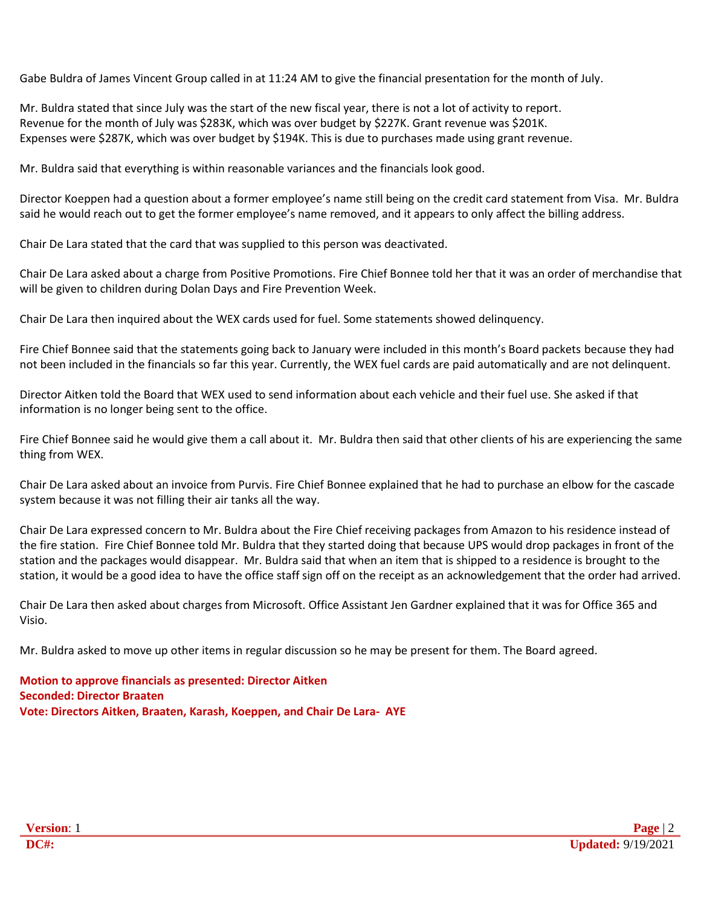Gabe Buldra of James Vincent Group called in at 11:24 AM to give the financial presentation for the month of July.

Mr. Buldra stated that since July was the start of the new fiscal year, there is not a lot of activity to report. Revenue for the month of July was \$283K, which was over budget by \$227K. Grant revenue was \$201K. Expenses were \$287K, which was over budget by \$194K. This is due to purchases made using grant revenue.

Mr. Buldra said that everything is within reasonable variances and the financials look good.

Director Koeppen had a question about a former employee's name still being on the credit card statement from Visa. Mr. Buldra said he would reach out to get the former employee's name removed, and it appears to only affect the billing address.

Chair De Lara stated that the card that was supplied to this person was deactivated.

Chair De Lara asked about a charge from Positive Promotions. Fire Chief Bonnee told her that it was an order of merchandise that will be given to children during Dolan Days and Fire Prevention Week.

Chair De Lara then inquired about the WEX cards used for fuel. Some statements showed delinquency.

Fire Chief Bonnee said that the statements going back to January were included in this month's Board packets because they had not been included in the financials so far this year. Currently, the WEX fuel cards are paid automatically and are not delinquent.

Director Aitken told the Board that WEX used to send information about each vehicle and their fuel use. She asked if that information is no longer being sent to the office.

Fire Chief Bonnee said he would give them a call about it. Mr. Buldra then said that other clients of his are experiencing the same thing from WEX.

Chair De Lara asked about an invoice from Purvis. Fire Chief Bonnee explained that he had to purchase an elbow for the cascade system because it was not filling their air tanks all the way.

Chair De Lara expressed concern to Mr. Buldra about the Fire Chief receiving packages from Amazon to his residence instead of the fire station. Fire Chief Bonnee told Mr. Buldra that they started doing that because UPS would drop packages in front of the station and the packages would disappear. Mr. Buldra said that when an item that is shipped to a residence is brought to the station, it would be a good idea to have the office staff sign off on the receipt as an acknowledgement that the order had arrived.

Chair De Lara then asked about charges from Microsoft. Office Assistant Jen Gardner explained that it was for Office 365 and Visio.

Mr. Buldra asked to move up other items in regular discussion so he may be present for them. The Board agreed.

**Motion to approve financials as presented: Director Aitken Seconded: Director Braaten Vote: Directors Aitken, Braaten, Karash, Koeppen, and Chair De Lara- AYE**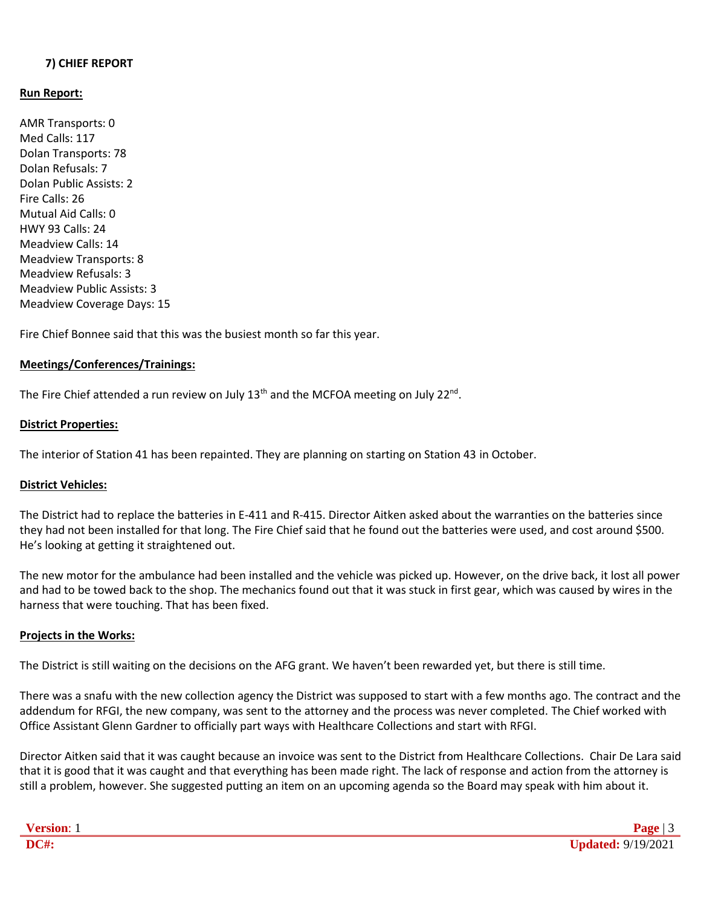## **7) CHIEF REPORT**

## **Run Report:**

AMR Transports: 0 Med Calls: 117 Dolan Transports: 78 Dolan Refusals: 7 Dolan Public Assists: 2 Fire Calls: 26 Mutual Aid Calls: 0 HWY 93 Calls: 24 Meadview Calls: 14 Meadview Transports: 8 Meadview Refusals: 3 Meadview Public Assists: 3 Meadview Coverage Days: 15

Fire Chief Bonnee said that this was the busiest month so far this year.

#### **Meetings/Conferences/Trainings:**

The Fire Chief attended a run review on July 13<sup>th</sup> and the MCFOA meeting on July 22<sup>nd</sup>.

#### **District Properties:**

The interior of Station 41 has been repainted. They are planning on starting on Station 43 in October.

## **District Vehicles:**

The District had to replace the batteries in E-411 and R-415. Director Aitken asked about the warranties on the batteries since they had not been installed for that long. The Fire Chief said that he found out the batteries were used, and cost around \$500. He's looking at getting it straightened out.

The new motor for the ambulance had been installed and the vehicle was picked up. However, on the drive back, it lost all power and had to be towed back to the shop. The mechanics found out that it was stuck in first gear, which was caused by wires in the harness that were touching. That has been fixed.

## **Projects in the Works:**

The District is still waiting on the decisions on the AFG grant. We haven't been rewarded yet, but there is still time.

There was a snafu with the new collection agency the District was supposed to start with a few months ago. The contract and the addendum for RFGI, the new company, was sent to the attorney and the process was never completed. The Chief worked with Office Assistant Glenn Gardner to officially part ways with Healthcare Collections and start with RFGI.

Director Aitken said that it was caught because an invoice was sent to the District from Healthcare Collections. Chair De Lara said that it is good that it was caught and that everything has been made right. The lack of response and action from the attorney is still a problem, however. She suggested putting an item on an upcoming agenda so the Board may speak with him about it.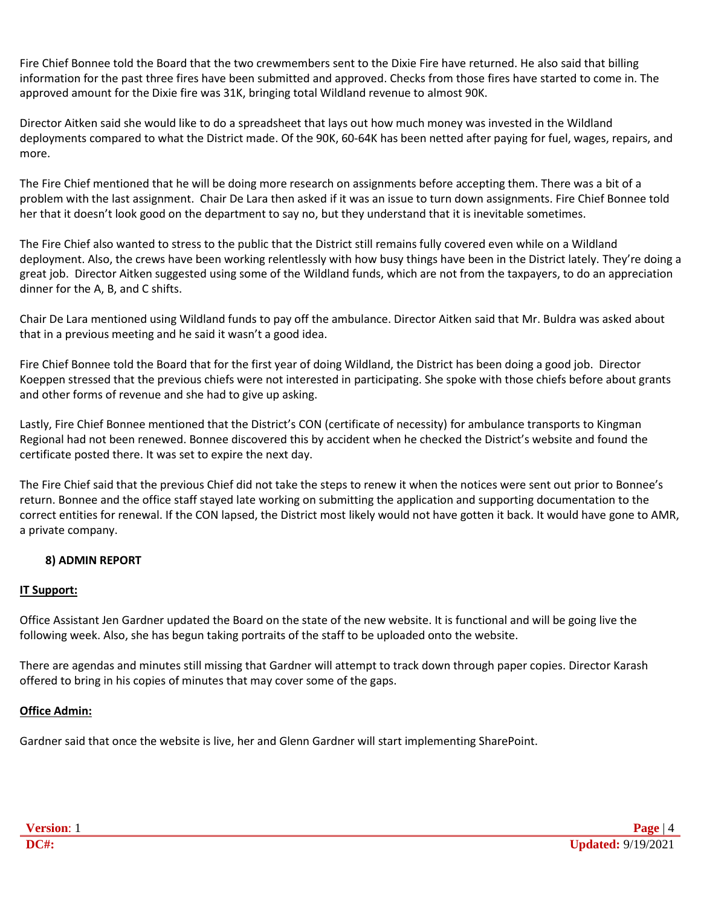Fire Chief Bonnee told the Board that the two crewmembers sent to the Dixie Fire have returned. He also said that billing information for the past three fires have been submitted and approved. Checks from those fires have started to come in. The approved amount for the Dixie fire was 31K, bringing total Wildland revenue to almost 90K.

Director Aitken said she would like to do a spreadsheet that lays out how much money was invested in the Wildland deployments compared to what the District made. Of the 90K, 60-64K has been netted after paying for fuel, wages, repairs, and more.

The Fire Chief mentioned that he will be doing more research on assignments before accepting them. There was a bit of a problem with the last assignment. Chair De Lara then asked if it was an issue to turn down assignments. Fire Chief Bonnee told her that it doesn't look good on the department to say no, but they understand that it is inevitable sometimes.

The Fire Chief also wanted to stress to the public that the District still remains fully covered even while on a Wildland deployment. Also, the crews have been working relentlessly with how busy things have been in the District lately. They're doing a great job. Director Aitken suggested using some of the Wildland funds, which are not from the taxpayers, to do an appreciation dinner for the A, B, and C shifts.

Chair De Lara mentioned using Wildland funds to pay off the ambulance. Director Aitken said that Mr. Buldra was asked about that in a previous meeting and he said it wasn't a good idea.

Fire Chief Bonnee told the Board that for the first year of doing Wildland, the District has been doing a good job. Director Koeppen stressed that the previous chiefs were not interested in participating. She spoke with those chiefs before about grants and other forms of revenue and she had to give up asking.

Lastly, Fire Chief Bonnee mentioned that the District's CON (certificate of necessity) for ambulance transports to Kingman Regional had not been renewed. Bonnee discovered this by accident when he checked the District's website and found the certificate posted there. It was set to expire the next day.

The Fire Chief said that the previous Chief did not take the steps to renew it when the notices were sent out prior to Bonnee's return. Bonnee and the office staff stayed late working on submitting the application and supporting documentation to the correct entities for renewal. If the CON lapsed, the District most likely would not have gotten it back. It would have gone to AMR, a private company.

# **8) ADMIN REPORT**

# **IT Support:**

Office Assistant Jen Gardner updated the Board on the state of the new website. It is functional and will be going live the following week. Also, she has begun taking portraits of the staff to be uploaded onto the website.

There are agendas and minutes still missing that Gardner will attempt to track down through paper copies. Director Karash offered to bring in his copies of minutes that may cover some of the gaps.

## **Office Admin:**

Gardner said that once the website is live, her and Glenn Gardner will start implementing SharePoint.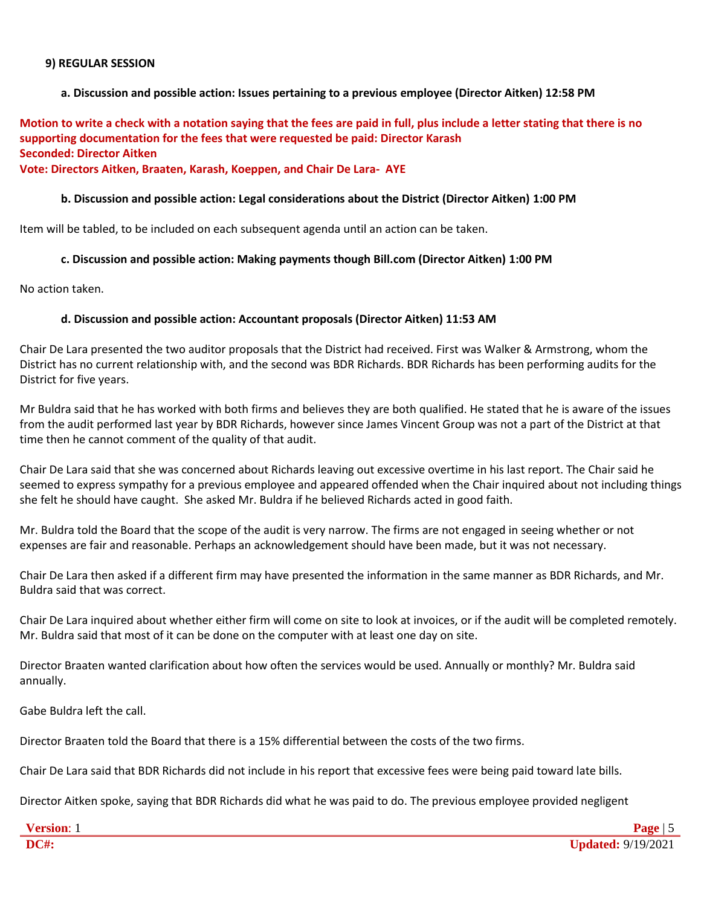#### **9) REGULAR SESSION**

## **a. Discussion and possible action: Issues pertaining to a previous employee (Director Aitken) 12:58 PM**

**Motion to write a check with a notation saying that the fees are paid in full, plus include a letter stating that there is no supporting documentation for the fees that were requested be paid: Director Karash Seconded: Director Aitken**

# **Vote: Directors Aitken, Braaten, Karash, Koeppen, and Chair De Lara- AYE**

#### **b. Discussion and possible action: Legal considerations about the District (Director Aitken) 1:00 PM**

Item will be tabled, to be included on each subsequent agenda until an action can be taken.

## **c. Discussion and possible action: Making payments though Bill.com (Director Aitken) 1:00 PM**

No action taken.

#### **d. Discussion and possible action: Accountant proposals (Director Aitken) 11:53 AM**

Chair De Lara presented the two auditor proposals that the District had received. First was Walker & Armstrong, whom the District has no current relationship with, and the second was BDR Richards. BDR Richards has been performing audits for the District for five years.

Mr Buldra said that he has worked with both firms and believes they are both qualified. He stated that he is aware of the issues from the audit performed last year by BDR Richards, however since James Vincent Group was not a part of the District at that time then he cannot comment of the quality of that audit.

Chair De Lara said that she was concerned about Richards leaving out excessive overtime in his last report. The Chair said he seemed to express sympathy for a previous employee and appeared offended when the Chair inquired about not including things she felt he should have caught. She asked Mr. Buldra if he believed Richards acted in good faith.

Mr. Buldra told the Board that the scope of the audit is very narrow. The firms are not engaged in seeing whether or not expenses are fair and reasonable. Perhaps an acknowledgement should have been made, but it was not necessary.

Chair De Lara then asked if a different firm may have presented the information in the same manner as BDR Richards, and Mr. Buldra said that was correct.

Chair De Lara inquired about whether either firm will come on site to look at invoices, or if the audit will be completed remotely. Mr. Buldra said that most of it can be done on the computer with at least one day on site.

Director Braaten wanted clarification about how often the services would be used. Annually or monthly? Mr. Buldra said annually.

Gabe Buldra left the call.

Director Braaten told the Board that there is a 15% differential between the costs of the two firms.

Chair De Lara said that BDR Richards did not include in his report that excessive fees were being paid toward late bills.

Director Aitken spoke, saying that BDR Richards did what he was paid to do. The previous employee provided negligent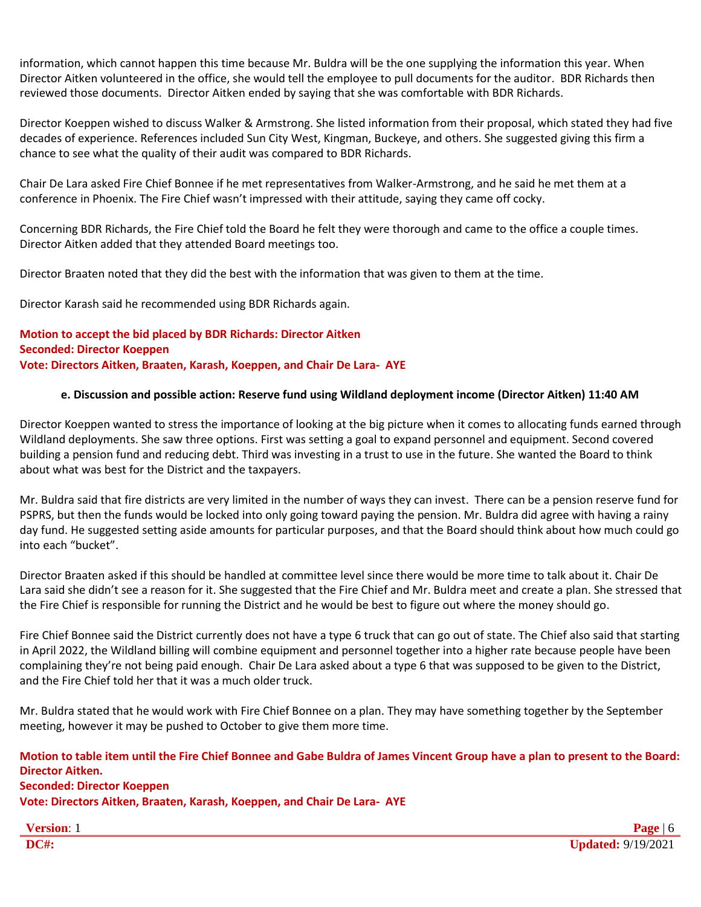information, which cannot happen this time because Mr. Buldra will be the one supplying the information this year. When Director Aitken volunteered in the office, she would tell the employee to pull documents for the auditor. BDR Richards then reviewed those documents. Director Aitken ended by saying that she was comfortable with BDR Richards.

Director Koeppen wished to discuss Walker & Armstrong. She listed information from their proposal, which stated they had five decades of experience. References included Sun City West, Kingman, Buckeye, and others. She suggested giving this firm a chance to see what the quality of their audit was compared to BDR Richards.

Chair De Lara asked Fire Chief Bonnee if he met representatives from Walker-Armstrong, and he said he met them at a conference in Phoenix. The Fire Chief wasn't impressed with their attitude, saying they came off cocky.

Concerning BDR Richards, the Fire Chief told the Board he felt they were thorough and came to the office a couple times. Director Aitken added that they attended Board meetings too.

Director Braaten noted that they did the best with the information that was given to them at the time.

Director Karash said he recommended using BDR Richards again.

# **Motion to accept the bid placed by BDR Richards: Director Aitken Seconded: Director Koeppen Vote: Directors Aitken, Braaten, Karash, Koeppen, and Chair De Lara- AYE**

## **e. Discussion and possible action: Reserve fund using Wildland deployment income (Director Aitken) 11:40 AM**

Director Koeppen wanted to stress the importance of looking at the big picture when it comes to allocating funds earned through Wildland deployments. She saw three options. First was setting a goal to expand personnel and equipment. Second covered building a pension fund and reducing debt. Third was investing in a trust to use in the future. She wanted the Board to think about what was best for the District and the taxpayers.

Mr. Buldra said that fire districts are very limited in the number of ways they can invest. There can be a pension reserve fund for PSPRS, but then the funds would be locked into only going toward paying the pension. Mr. Buldra did agree with having a rainy day fund. He suggested setting aside amounts for particular purposes, and that the Board should think about how much could go into each "bucket".

Director Braaten asked if this should be handled at committee level since there would be more time to talk about it. Chair De Lara said she didn't see a reason for it. She suggested that the Fire Chief and Mr. Buldra meet and create a plan. She stressed that the Fire Chief is responsible for running the District and he would be best to figure out where the money should go.

Fire Chief Bonnee said the District currently does not have a type 6 truck that can go out of state. The Chief also said that starting in April 2022, the Wildland billing will combine equipment and personnel together into a higher rate because people have been complaining they're not being paid enough. Chair De Lara asked about a type 6 that was supposed to be given to the District, and the Fire Chief told her that it was a much older truck.

Mr. Buldra stated that he would work with Fire Chief Bonnee on a plan. They may have something together by the September meeting, however it may be pushed to October to give them more time.

## **Motion to table item until the Fire Chief Bonnee and Gabe Buldra of James Vincent Group have a plan to present to the Board: Director Aitken. Seconded: Director Koeppen Vote: Directors Aitken, Braaten, Karash, Koeppen, and Chair De Lara- AYE**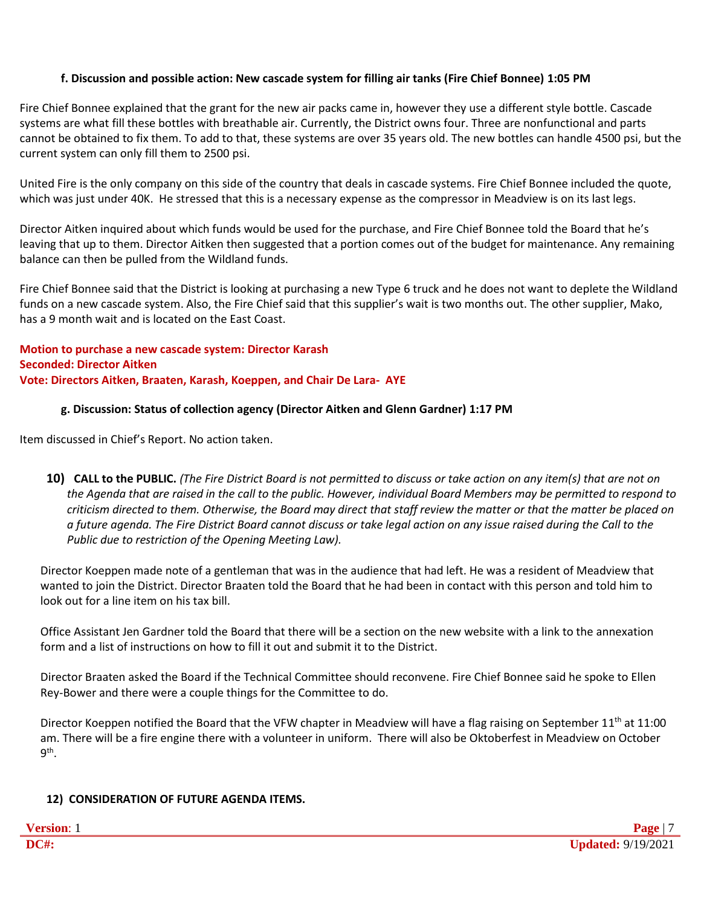# **f. Discussion and possible action: New cascade system for filling air tanks (Fire Chief Bonnee) 1:05 PM**

Fire Chief Bonnee explained that the grant for the new air packs came in, however they use a different style bottle. Cascade systems are what fill these bottles with breathable air. Currently, the District owns four. Three are nonfunctional and parts cannot be obtained to fix them. To add to that, these systems are over 35 years old. The new bottles can handle 4500 psi, but the current system can only fill them to 2500 psi.

United Fire is the only company on this side of the country that deals in cascade systems. Fire Chief Bonnee included the quote, which was just under 40K. He stressed that this is a necessary expense as the compressor in Meadview is on its last legs.

Director Aitken inquired about which funds would be used for the purchase, and Fire Chief Bonnee told the Board that he's leaving that up to them. Director Aitken then suggested that a portion comes out of the budget for maintenance. Any remaining balance can then be pulled from the Wildland funds.

Fire Chief Bonnee said that the District is looking at purchasing a new Type 6 truck and he does not want to deplete the Wildland funds on a new cascade system. Also, the Fire Chief said that this supplier's wait is two months out. The other supplier, Mako, has a 9 month wait and is located on the East Coast.

**Motion to purchase a new cascade system: Director Karash Seconded: Director Aitken Vote: Directors Aitken, Braaten, Karash, Koeppen, and Chair De Lara- AYE**

# **g. Discussion: Status of collection agency (Director Aitken and Glenn Gardner) 1:17 PM**

Item discussed in Chief's Report. No action taken.

10) CALL to the PUBLIC. (The Fire District Board is not permitted to discuss or take action on any item(s) that are not on *the Agenda that are raised in the call to the public. However, individual Board Members may be permitted to respond to criticism directed to them. Otherwise, the Board may direct that staff review the matter or that the matter be placed on a future agenda. The Fire District Board cannot discuss or take legal action on any issue raised during the Call to the Public due to restriction of the Opening Meeting Law).*

Director Koeppen made note of a gentleman that was in the audience that had left. He was a resident of Meadview that wanted to join the District. Director Braaten told the Board that he had been in contact with this person and told him to look out for a line item on his tax bill.

Office Assistant Jen Gardner told the Board that there will be a section on the new website with a link to the annexation form and a list of instructions on how to fill it out and submit it to the District.

Director Braaten asked the Board if the Technical Committee should reconvene. Fire Chief Bonnee said he spoke to Ellen Rey-Bower and there were a couple things for the Committee to do.

Director Koeppen notified the Board that the VFW chapter in Meadview will have a flag raising on September 11<sup>th</sup> at 11:00 am. There will be a fire engine there with a volunteer in uniform. There will also be Oktoberfest in Meadview on October 9<sup>th</sup>.

# **12) CONSIDERATION OF FUTURE AGENDA ITEMS.**